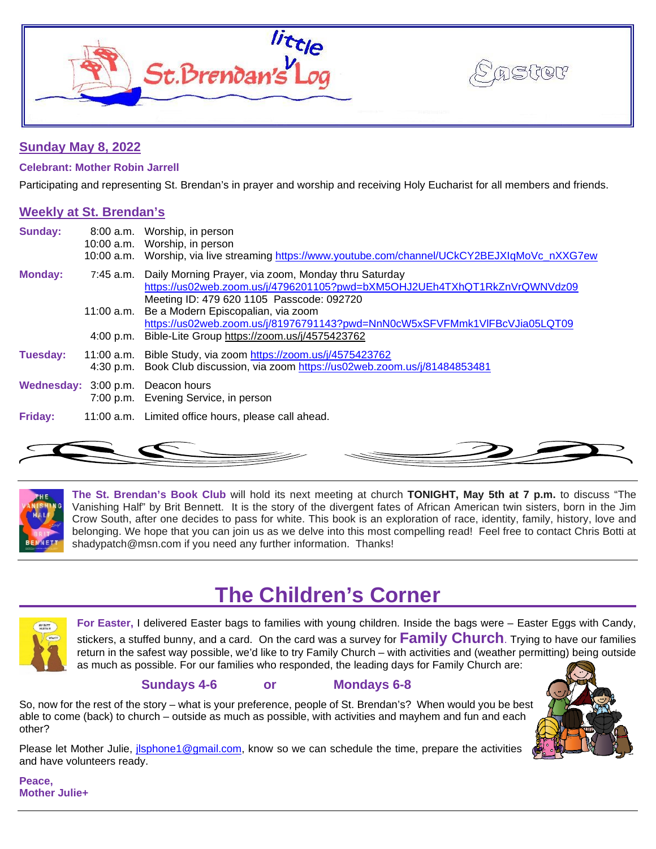



# **Sunday May 8, 2022**

**Celebrant: Mother Robin Jarrell**

Participating and representing St. Brendan's in prayer and worship and receiving Holy Eucharist for all members and friends.

## **Weekly at St. Brendan's**

| Sunday:        |            | 8:00 a.m. Worship, in person<br>10:00 a.m. Worship, in person<br>10:00 a.m. Worship, via live streaming https://www.youtube.com/channel/UCkCY2BEJXIqMoVc_nXXG7ew               |
|----------------|------------|--------------------------------------------------------------------------------------------------------------------------------------------------------------------------------|
| <b>Monday:</b> | 7:45 a.m.  | Daily Morning Prayer, via zoom, Monday thru Saturday<br>https://us02web.zoom.us/j/4796201105?pwd=bXM5OHJ2UEh4TXhQT1RkZnVrQWNVdz09<br>Meeting ID: 479 620 1105 Passcode: 092720 |
|                |            | 11:00 a.m. Be a Modern Episcopalian, via zoom<br>https://us02web.zoom.us/j/81976791143?pwd=NnN0cW5xSFVFMmk1VIFBcVJia05LQT09                                                    |
|                | 4:00 p.m.  | Bible-Lite Group https://zoom.us/j/4575423762                                                                                                                                  |
| Tuesday:       | 11:00 a.m. | Bible Study, via zoom https://zoom.us/j/4575423762<br>4:30 p.m. Book Club discussion, via zoom https://us02web.zoom.us/j/81484853481                                           |
|                |            | Wednesday: 3:00 p.m. Deacon hours<br>7:00 p.m. Evening Service, in person                                                                                                      |
| Friday:        |            | 11:00 a.m. Limited office hours, please call ahead.                                                                                                                            |



**The St. Brendan's Book Club** will hold its next meeting at church **TONIGHT, May 5th at 7 p.m.** to discuss "The Vanishing Half" by Brit Bennett. It is the story of the divergent fates of African American twin sisters, born in the Jim Crow South, after one decides to pass for white. This book is an exploration of race, identity, family, history, love and belonging. We hope that you can join us as we delve into this most compelling read! Feel free to contact Chris Botti at shadypatch@msn.com if you need any further information. Thanks!

# **The Children's Corner**



**For Easter,** I delivered Easter bags to families with young children. Inside the bags were – Easter Eggs with Candy, stickers, a stuffed bunny, and a card. On the card was a survey for **Family Church**. Trying to have our families return in the safest way possible, we'd like to try Family Church – with activities and (weather permitting) being outside as much as possible. For our families who responded, the leading days for Family Church are:

# **Sundays 4-6 or Mondays 6-8**

So, now for the rest of the story – what is your preference, people of St. Brendan's? When would you be best able to come (back) to church – outside as much as possible, with activities and mayhem and fun and each other?

Please let Mother Julie, *jlsphone1@gmail.com*, know so we can schedule the time, prepare the activities and have volunteers ready.



**Peace, Mother Julie+**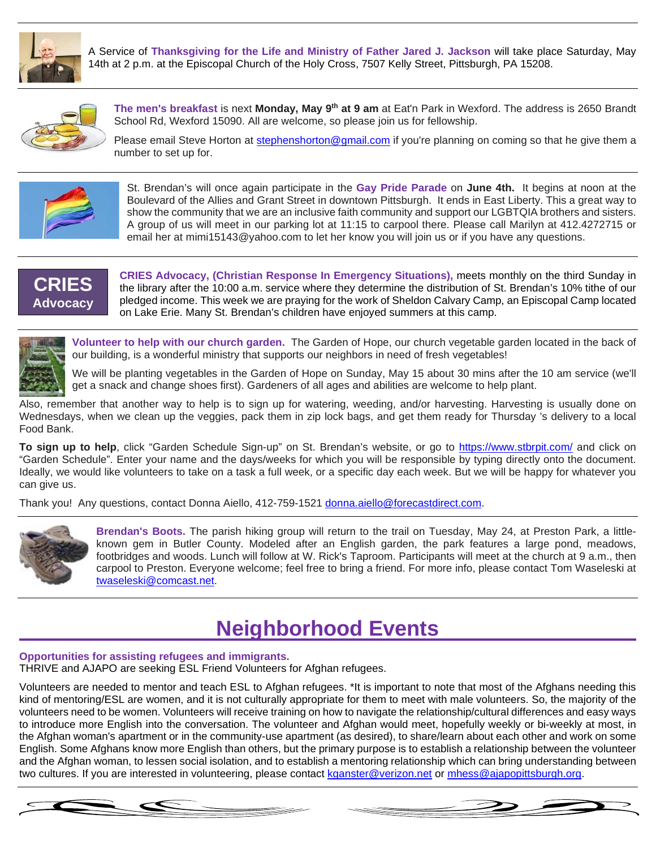

A Service of **Thanksgiving for the Life and Ministry of Father Jared J. Jackson** will take place Saturday, May 14th at 2 p.m. at the Episcopal Church of the Holy Cross, 7507 Kelly Street, Pittsburgh, PA 15208.



**The men's breakfast** is next **Monday, May 9th at 9 am** at Eat'n Park in Wexford. The address is 2650 Brandt School Rd, Wexford 15090. All are welcome, so please join us for fellowship.

Please email Steve Horton at [stephenshorton@gmail.com](mailto:stephenshorton@gmail.com) if you're planning on coming so that he give them a number to set up for.



St. Brendan's will once again participate in the **Gay Pride Parade** on **June 4th.** It begins at noon at the Boulevard of the Allies and Grant Street in downtown Pittsburgh. It ends in East Liberty. This a great way to show the community that we are an inclusive faith community and support our LGBTQIA brothers and sisters. A group of us will meet in our parking lot at 11:15 to carpool there. Please call Marilyn at 412.4272715 or email her at mimi15143@yahoo.com to let her know you will join us or if you have any questions.



**CRIES Advocacy, (Christian Response In Emergency Situations),** meets monthly on the third Sunday in the library after the 10:00 a.m. service where they determine the distribution of St. Brendan's 10% tithe of our pledged income. This week we are praying for the work of Sheldon Calvary Camp, an Episcopal Camp located on Lake Erie. Many St. Brendan's children have enjoyed summers at this camp.



**Volunteer to help with our church garden.** The Garden of Hope, our church vegetable garden located in the back of our building, is a wonderful ministry that supports our neighbors in need of fresh vegetables!

We will be planting vegetables in the Garden of Hope on Sunday, May 15 about 30 mins after the 10 am service (we'll get a snack and change shoes first). Gardeners of all ages and abilities are welcome to help plant.

Also, remember that another way to help is to sign up for watering, weeding, and/or harvesting. Harvesting is usually done on Wednesdays, when we clean up the veggies, pack them in zip lock bags, and get them ready for Thursday 's delivery to a local Food Bank.

**To sign up to help**, click "Garden Schedule Sign-up" on St. Brendan's website, or go to<https://www.stbrpit.com/> and click on "Garden Schedule". Enter your name and the days/weeks for which you will be responsible by typing directly onto the document. Ideally, we would like volunteers to take on a task a full week, or a specific day each week. But we will be happy for whatever you can give us.

Thank you! Any questions, contact Donna Aiello, 412-759-1521 [donna.aiello@forecastdirect.com.](mailto:donna.aiello@forecastdirect.com)



**Brendan's Boots.** The parish hiking group will return to the trail on Tuesday, May 24, at Preston Park, a littleknown gem in Butler County. Modeled after an English garden, the park features a large pond, meadows, footbridges and woods. Lunch will follow at W. Rick's Taproom. Participants will meet at the church at 9 a.m., then carpool to Preston. Everyone welcome; feel free to bring a friend. For more info, please contact Tom Waseleski at [twaseleski@comcast.net.](mailto:twaseleski@comcast.net)

# **Neighborhood Events**

#### **Opportunities for assisting refugees and immigrants.**

THRIVE and AJAPO are seeking ESL Friend Volunteers for Afghan refugees.

Volunteers are needed to mentor and teach ESL to Afghan refugees. \*It is important to note that most of the Afghans needing this kind of mentoring/ESL are women, and it is not culturally appropriate for them to meet with male volunteers. So, the majority of the volunteers need to be women. Volunteers will receive training on how to navigate the relationship/cultural differences and easy ways to introduce more English into the conversation. The volunteer and Afghan would meet, hopefully weekly or bi-weekly at most, in the Afghan woman's apartment or in the community-use apartment (as desired), to share/learn about each other and work on some English. Some Afghans know more English than others, but the primary purpose is to establish a relationship between the volunteer and the Afghan woman, to lessen social isolation, and to establish a mentoring relationship which can bring understanding between two cultures. If you are interested in volunteering, please contact kganster@verizon.net or [mhess@ajapopittsburgh.org.](mailto:mhess@ajapopittsburgh.org)

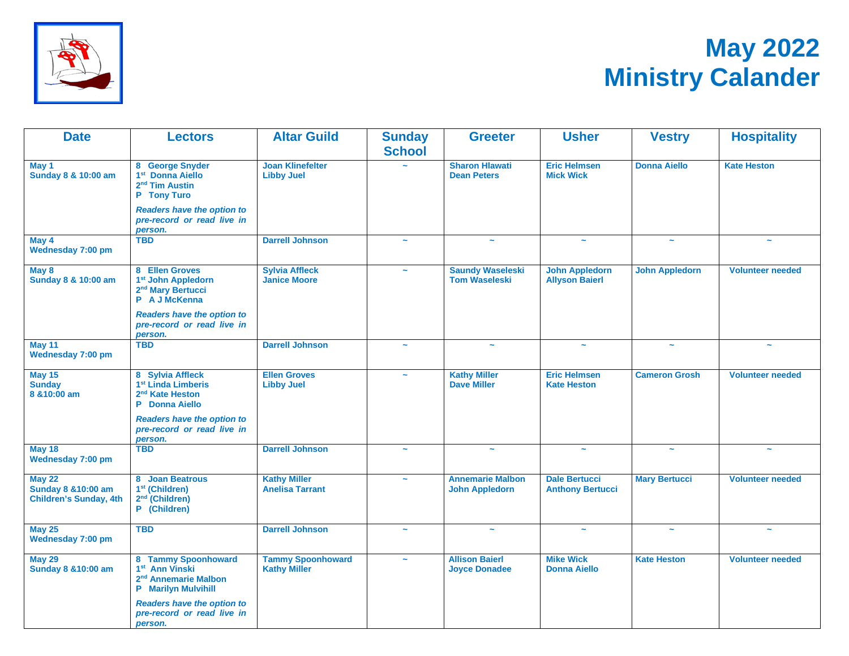

# **May 2022 Ministry Calander**

| <b>Date</b>                                                                      | <b>Lectors</b>                                                                                                                    | <b>Altar Guild</b>                              | <b>Sunday</b><br><b>School</b> | <b>Greeter</b>                                   | <b>Usher</b>                                    | <b>Vestry</b>         | <b>Hospitality</b>      |
|----------------------------------------------------------------------------------|-----------------------------------------------------------------------------------------------------------------------------------|-------------------------------------------------|--------------------------------|--------------------------------------------------|-------------------------------------------------|-----------------------|-------------------------|
| May 1<br>Sunday 8 & 10:00 am                                                     | 8 George Snyder<br>1 <sup>st</sup> Donna Aiello<br>2 <sup>nd</sup> Tim Austin<br>P Tony Turo<br><b>Readers have the option to</b> |                                                 |                                | <b>Sharon Hlawati</b><br><b>Dean Peters</b>      | <b>Eric Helmsen</b><br><b>Mick Wick</b>         | <b>Donna Aiello</b>   | <b>Kate Heston</b>      |
|                                                                                  | pre-record or read live in<br>person.                                                                                             |                                                 |                                |                                                  |                                                 |                       |                         |
| May 4<br>Wednesday 7:00 pm                                                       | <b>TBD</b>                                                                                                                        | <b>Darrell Johnson</b>                          | $\sim$                         |                                                  | $\sim$                                          | $\sim$                | $\sim$                  |
| May 8<br>Sunday 8 & 10:00 am                                                     | 8 Ellen Groves<br>1 <sup>st</sup> John Appledorn<br>2 <sup>nd</sup> Mary Bertucci<br>P A J McKenna                                | <b>Sylvia Affleck</b><br><b>Janice Moore</b>    |                                | <b>Saundy Waseleski</b><br><b>Tom Waseleski</b>  | <b>John Appledorn</b><br><b>Allyson Baierl</b>  | <b>John Appledorn</b> | <b>Volunteer needed</b> |
|                                                                                  | <b>Readers have the option to</b><br>pre-record or read live in<br>person.                                                        |                                                 |                                |                                                  |                                                 |                       |                         |
| <b>May 11</b><br>Wednesday 7:00 pm                                               | <b>TBD</b>                                                                                                                        | <b>Darrell Johnson</b>                          | $\tilde{\phantom{a}}$          | $\sim$                                           | $\tilde{\phantom{a}}$                           | $\tilde{\phantom{a}}$ | $\tilde{\phantom{a}}$   |
| <b>May 15</b><br><b>Sunday</b><br>8 & 10:00 am                                   | 8 Sylvia Affleck<br>1 <sup>st</sup> Linda Limberis<br>2 <sup>nd</sup> Kate Heston<br>P Donna Aiello                               | <b>Ellen Groves</b><br><b>Libby Juel</b>        | $\sim$                         | <b>Kathy Miller</b><br><b>Dave Miller</b>        | <b>Eric Helmsen</b><br><b>Kate Heston</b>       | <b>Cameron Grosh</b>  | <b>Volunteer needed</b> |
|                                                                                  | <b>Readers have the option to</b><br>pre-record or read live in<br>person.                                                        |                                                 |                                |                                                  |                                                 |                       |                         |
| <b>May 18</b><br><b>Wednesday 7:00 pm</b>                                        | <b>TBD</b>                                                                                                                        | <b>Darrell Johnson</b>                          | $\tilde{\phantom{a}}$          | $\tilde{\phantom{a}}$                            | $\tilde{\phantom{a}}$                           | $\tilde{\phantom{a}}$ | $\tilde{\phantom{a}}$   |
| <b>May 22</b><br><b>Sunday 8 &amp; 10:00 am</b><br><b>Children's Sunday, 4th</b> | 8 Joan Beatrous<br>1 <sup>st</sup> (Children)<br>2 <sup>nd</sup> (Children)<br>P (Children)                                       | <b>Kathy Miller</b><br><b>Anelisa Tarrant</b>   | $\sim$                         | <b>Annemarie Malbon</b><br><b>John Appledorn</b> | <b>Dale Bertucci</b><br><b>Anthony Bertucci</b> | <b>Mary Bertucci</b>  | <b>Volunteer needed</b> |
| <b>May 25</b><br>Wednesday 7:00 pm                                               | <b>TBD</b>                                                                                                                        | <b>Darrell Johnson</b>                          | $\sim$                         | $\tilde{\phantom{a}}$                            | $\tilde{\phantom{a}}$                           | $\tilde{\phantom{a}}$ | $\sim$                  |
| <b>May 29</b><br><b>Sunday 8 &amp; 10:00 am</b>                                  | 8 Tammy Spoonhoward<br>1 <sup>st</sup> Ann Vinski<br>2 <sup>nd</sup> Annemarie Malbon<br><b>P</b> Marilyn Mulvihill               | <b>Tammy Spoonhoward</b><br><b>Kathy Miller</b> | $\tilde{\phantom{a}}$          | <b>Allison Baierl</b><br><b>Joyce Donadee</b>    | <b>Mike Wick</b><br><b>Donna Aiello</b>         | <b>Kate Heston</b>    | <b>Volunteer needed</b> |
|                                                                                  | <b>Readers have the option to</b><br>pre-record or read live in<br>person.                                                        |                                                 |                                |                                                  |                                                 |                       |                         |